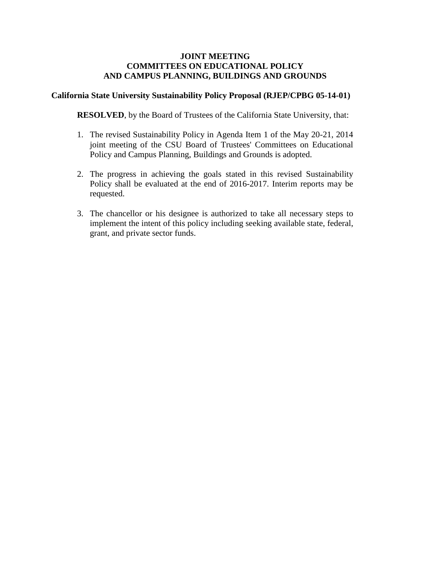# **JOINT MEETING COMMITTEES ON EDUCATIONAL POLICY AND CAMPUS PLANNING, BUILDINGS AND GROUNDS**

## **California State University Sustainability Policy Proposal (RJEP/CPBG 05-14-01)**

**RESOLVED**, by the Board of Trustees of the California State University, that:

- 1. The revised Sustainability Policy in Agenda Item 1 of the May 20-21, 2014 joint meeting of the CSU Board of Trustees' Committees on Educational Policy and Campus Planning, Buildings and Grounds is adopted.
- 2. The progress in achieving the goals stated in this revised Sustainability Policy shall be evaluated at the end of 2016-2017. Interim reports may be requested.
- 3. The chancellor or his designee is authorized to take all necessary steps to implement the intent of this policy including seeking available state, federal, grant, and private sector funds.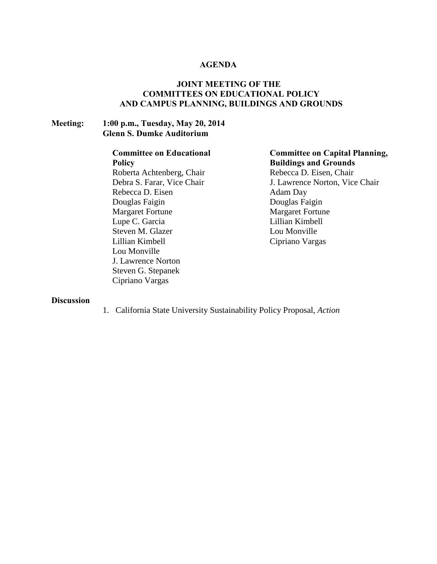## **AGENDA**

# **JOINT MEETING OF THE COMMITTEES ON EDUCATIONAL POLICY AND CAMPUS PLANNING, BUILDINGS AND GROUNDS**

# **Meeting: 1:00 p.m., Tuesday, May 20, 2014 Glenn S. Dumke Auditorium**

# **Committee on Educational**

**Policy** Roberta Achtenberg, Chair Debra S. Farar, Vice Chair Rebecca D. Eisen Douglas Faigin Margaret Fortune Lupe C. Garcia Steven M. Glazer Lillian Kimbell Lou Monville J. Lawrence Norton Steven G. Stepanek Cipriano Vargas

# **Committee on Capital Planning, Buildings and Grounds** Rebecca D. Eisen, Chair

J. Lawrence Norton, Vice Chair Adam Day Douglas Faigin Margaret Fortune Lillian Kimbell Lou Monville Cipriano Vargas

#### **Discussion**

1. California State University Sustainability Policy Proposal, *Action*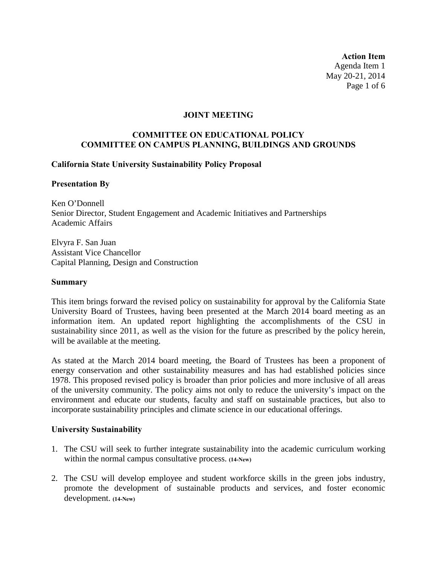**Action Item** Agenda Item 1 May 20-21, 2014 Page 1 of 6

#### **JOINT MEETING**

# **COMMITTEE ON EDUCATIONAL POLICY COMMITTEE ON CAMPUS PLANNING, BUILDINGS AND GROUNDS**

## **California State University Sustainability Policy Proposal**

## **Presentation By**

Ken O'Donnell Senior Director, Student Engagement and Academic Initiatives and Partnerships Academic Affairs

Elvyra F. San Juan Assistant Vice Chancellor Capital Planning, Design and Construction

#### **Summary**

This item brings forward the revised policy on sustainability for approval by the California State University Board of Trustees, having been presented at the March 2014 board meeting as an information item. An updated report highlighting the accomplishments of the CSU in sustainability since 2011, as well as the vision for the future as prescribed by the policy herein, will be available at the meeting.

As stated at the March 2014 board meeting, the Board of Trustees has been a proponent of energy conservation and other sustainability measures and has had established policies since 1978. This proposed revised policy is broader than prior policies and more inclusive of all areas of the university community. The policy aims not only to reduce the university's impact on the environment and educate our students, faculty and staff on sustainable practices, but also to incorporate sustainability principles and climate science in our educational offerings.

#### **University Sustainability**

- 1. The CSU will seek to further integrate sustainability into the academic curriculum working within the normal campus consultative process. **(14-New)**
- 2. The CSU will develop employee and student workforce skills in the green jobs industry, promote the development of sustainable products and services, and foster economic development. **(14-New)**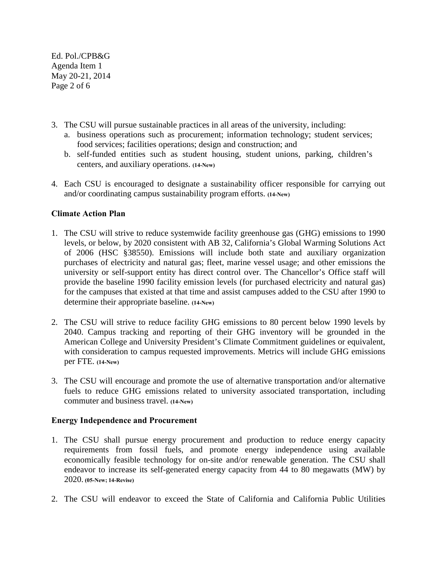Ed. Pol./CPB&G Agenda Item 1 May 20-21, 2014 Page 2 of 6

- 3. The CSU will pursue sustainable practices in all areas of the university, including:
	- a. business operations such as procurement; information technology; student services; food services; facilities operations; design and construction; and
	- b. self-funded entities such as student housing, student unions, parking, children's centers, and auxiliary operations. **(14-New)**
- 4. Each CSU is encouraged to designate a sustainability officer responsible for carrying out and/or coordinating campus sustainability program efforts. **(14-New)**

# **Climate Action Plan**

- 1. The CSU will strive to reduce systemwide facility greenhouse gas (GHG) emissions to 1990 levels, or below, by 2020 consistent with AB 32, California's Global Warming Solutions Act of 2006 (HSC §38550). Emissions will include both state and auxiliary organization purchases of electricity and natural gas; fleet, marine vessel usage; and other emissions the university or self-support entity has direct control over. The Chancellor's Office staff will provide the baseline 1990 facility emission levels (for purchased electricity and natural gas) for the campuses that existed at that time and assist campuses added to the CSU after 1990 to determine their appropriate baseline. **(14-New)**
- 2. The CSU will strive to reduce facility GHG emissions to 80 percent below 1990 levels by 2040. Campus tracking and reporting of their GHG inventory will be grounded in the American College and University President's Climate Commitment guidelines or equivalent, with consideration to campus requested improvements. Metrics will include GHG emissions per FTE. **(14-New)**
- 3. The CSU will encourage and promote the use of alternative transportation and/or alternative fuels to reduce GHG emissions related to university associated transportation, including commuter and business travel. **(14-New)**

# **Energy Independence and Procurement**

- 1. The CSU shall pursue energy procurement and production to reduce energy capacity requirements from fossil fuels, and promote energy independence using available economically feasible technology for on-site and/or renewable generation. The CSU shall endeavor to increase its self-generated energy capacity from 44 to 80 megawatts (MW) by 2020. **(05-New; 14-Revise)**
- 2. The CSU will endeavor to exceed the State of California and California Public Utilities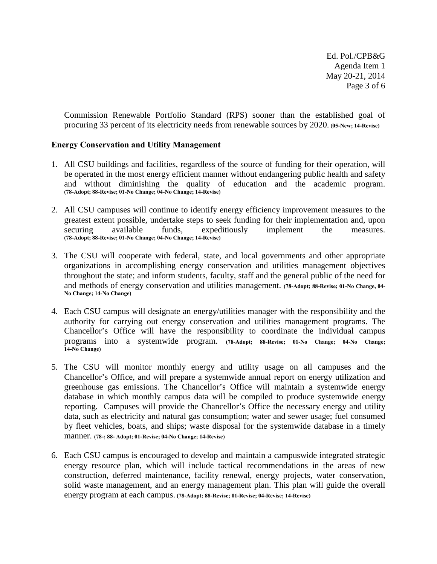Ed. Pol./CPB&G Agenda Item 1 May 20-21, 2014 Page 3 of 6

Commission Renewable Portfolio Standard (RPS) sooner than the established goal of procuring 33 percent of its electricity needs from renewable sources by 2020. **(05-New; 14-Revise)**

## **Energy Conservation and Utility Management**

- 1. All CSU buildings and facilities, regardless of the source of funding for their operation, will be operated in the most energy efficient manner without endangering public health and safety and without diminishing the quality of education and the academic program. **(78-Adopt; 88-Revise; 01-No Change; 04-No Change; 14-Revise)**
- 2. All CSU campuses will continue to identify energy efficiency improvement measures to the greatest extent possible, undertake steps to seek funding for their implementation and, upon securing available funds, expeditiously implement the measures. **(78-Adopt; 88-Revise; 01-No Change; 04-No Change; 14-Revise)**
- 3. The CSU will cooperate with federal, state, and local governments and other appropriate organizations in accomplishing energy conservation and utilities management objectives throughout the state; and inform students, faculty, staff and the general public of the need for and methods of energy conservation and utilities management. **(78-Adopt; 88-Revise; 01-No Change, 04- No Change; 14-No Change)**
- 4. Each CSU campus will designate an energy/utilities manager with the responsibility and the authority for carrying out energy conservation and utilities management programs. The Chancellor's Office will have the responsibility to coordinate the individual campus programs into a systemwide program. **(78-Adopt; 88-Revise; 01-No Change; 04-No Change; 14-No Change)**
- 5. The CSU will monitor monthly energy and utility usage on all campuses and the Chancellor's Office, and will prepare a systemwide annual report on energy utilization and greenhouse gas emissions. The Chancellor's Office will maintain a systemwide energy database in which monthly campus data will be compiled to produce systemwide energy reporting. Campuses will provide the Chancellor's Office the necessary energy and utility data, such as electricity and natural gas consumption; water and sewer usage; fuel consumed by fleet vehicles, boats, and ships; waste disposal for the systemwide database in a timely manner. **(78-; 88- Adopt; 01-Revise; 04-No Change; 14-Revise)**
- 6. Each CSU campus is encouraged to develop and maintain a campuswide integrated strategic energy resource plan, which will include tactical recommendations in the areas of new construction, deferred maintenance, facility renewal, energy projects, water conservation, solid waste management, and an energy management plan. This plan will guide the overall energy program at each campus. **(78-Adopt; 88-Revise; 01-Revise; 04-Revise; 14-Revise)**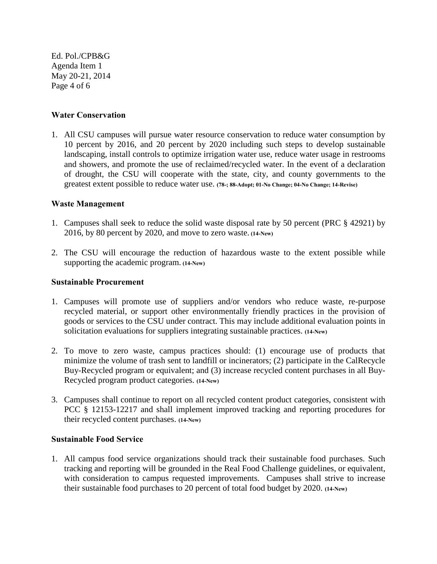Ed. Pol./CPB&G Agenda Item 1 May 20-21, 2014 Page 4 of 6

## **Water Conservation**

1. All CSU campuses will pursue water resource conservation to reduce water consumption by 10 percent by 2016, and 20 percent by 2020 including such steps to develop sustainable landscaping, install controls to optimize irrigation water use, reduce water usage in restrooms and showers, and promote the use of reclaimed/recycled water. In the event of a declaration of drought, the CSU will cooperate with the state, city, and county governments to the greatest extent possible to reduce water use. **(78-; 88-Adopt; 01-No Change; 04-No Change; 14-Revise)** 

## **Waste Management**

- 1. Campuses shall seek to reduce the solid waste disposal rate by 50 percent (PRC § 42921) by 2016, by 80 percent by 2020, and move to zero waste. **(14-New)**
- 2. The CSU will encourage the reduction of hazardous waste to the extent possible while supporting the academic program. **(14-New)**

#### **Sustainable Procurement**

- 1. Campuses will promote use of suppliers and/or vendors who reduce waste, re-purpose recycled material, or support other environmentally friendly practices in the provision of goods or services to the CSU under contract. This may include additional evaluation points in solicitation evaluations for suppliers integrating sustainable practices. **(14-New)**
- 2. To move to zero waste, campus practices should: (1) encourage use of products that minimize the volume of trash sent to landfill or incinerators; (2) participate in the CalRecycle Buy-Recycled program or equivalent; and (3) increase recycled content purchases in all Buy-Recycled program product categories. **(14-New)**
- 3. Campuses shall continue to report on all recycled content product categories, consistent with PCC § 12153-12217 and shall implement improved tracking and reporting procedures for their recycled content purchases. **(14-New)**

## **Sustainable Food Service**

1. All campus food service organizations should track their sustainable food purchases. Such tracking and reporting will be grounded in the Real Food Challenge guidelines, or equivalent, with consideration to campus requested improvements. Campuses shall strive to increase their sustainable food purchases to 20 percent of total food budget by 2020. **(14-New)**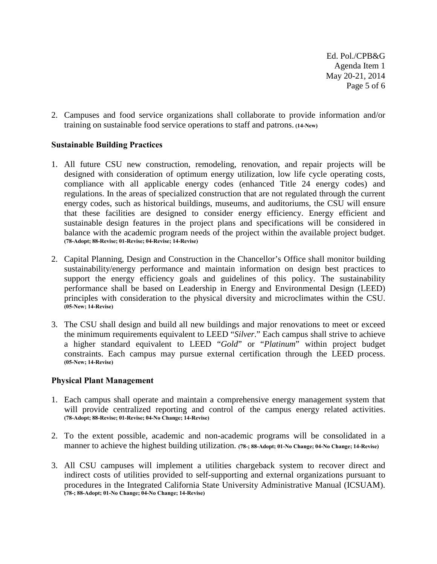Ed. Pol./CPB&G Agenda Item 1 May 20-21, 2014 Page 5 of 6

2. Campuses and food service organizations shall collaborate to provide information and/or training on sustainable food service operations to staff and patrons. **(14-New)**

## **Sustainable Building Practices**

- 1. All future CSU new construction, remodeling, renovation, and repair projects will be designed with consideration of optimum energy utilization, low life cycle operating costs, compliance with all applicable energy codes (enhanced Title 24 energy codes) and regulations. In the areas of specialized construction that are not regulated through the current energy codes, such as historical buildings, museums, and auditoriums, the CSU will ensure that these facilities are designed to consider energy efficiency. Energy efficient and sustainable design features in the project plans and specifications will be considered in balance with the academic program needs of the project within the available project budget. **(78-Adopt; 88-Revise; 01-Revise; 04-Revise; 14-Revise)**
- 2. Capital Planning, Design and Construction in the Chancellor's Office shall monitor building sustainability/energy performance and maintain information on design best practices to support the energy efficiency goals and guidelines of this policy. The sustainability performance shall be based on Leadership in Energy and Environmental Design (LEED) principles with consideration to the physical diversity and microclimates within the CSU. **(05-New; 14-Revise)**
- 3. The CSU shall design and build all new buildings and major renovations to meet or exceed the minimum requirements equivalent to LEED "*Silver*." Each campus shall strive to achieve a higher standard equivalent to LEED "*Gold*" or "*Platinum*" within project budget constraints. Each campus may pursue external certification through the LEED process. **(05-New; 14-Revise)**

## **Physical Plant Management**

- 1. Each campus shall operate and maintain a comprehensive energy management system that will provide centralized reporting and control of the campus energy related activities. **(78-Adopt; 88-Revise; 01-Revise; 04-No Change; 14-Revise)**
- 2. To the extent possible, academic and non-academic programs will be consolidated in a manner to achieve the highest building utilization. **(78-; 88-Adopt; 01-No Change; 04-No Change; 14-Revise)**
- 3. All CSU campuses will implement a utilities chargeback system to recover direct and indirect costs of utilities provided to self-supporting and external organizations pursuant to procedures in the Integrated California State University Administrative Manual (ICSUAM). **(78-; 88-Adopt; 01-No Change; 04-No Change; 14-Revise)**